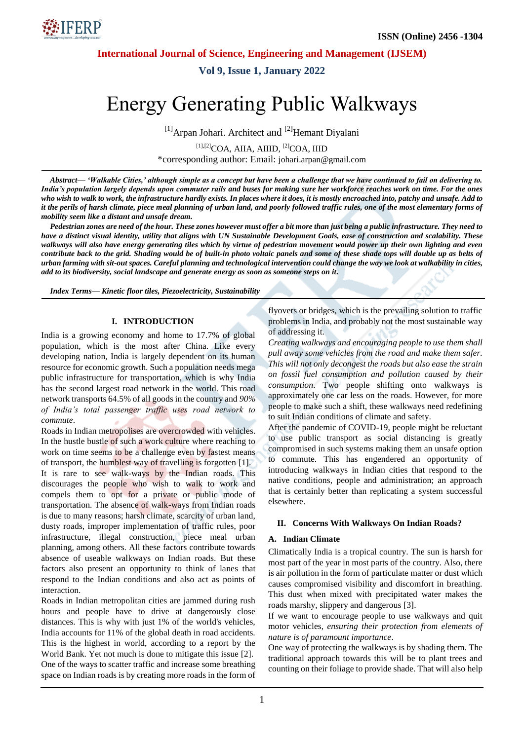NFERP\*

**International Journal of Science, Engineering and Management (IJSEM)**

**Vol 9, Issue 1, January 2022**

# Energy Generating Public Walkways

 $[1]$ Arpan Johari. Architect and  $[2]$ Hemant Diyalani

[1],[2]COA, AIIA, AIIID, [2]COA, IIID \*corresponding author: Email: [johari.arpan@gmail.com](mailto:johari.arpan@gmail.com)

*Abstract— 'Walkable Cities,' although simple as a concept but have been a challenge that we have continued to fail on delivering to. India's population largely depends upon commuter rails and buses for making sure her workforce reaches work on time. For the ones*  who wish to walk to work, the infrastructure hardly exists. In places where it does, it is mostly encroached into, patchy and unsafe. Add to it the perils of harsh climate, piece meal planning of urban land, and poorly followed traffic rules, one of the most elementary forms of *mobility seem like a distant and unsafe dream.*

*Pedestrian zones are need of the hour. These zones however must offer a bit more than just being a public infrastructure. They need to have a distinct visual identity, utility that aligns with UN Sustainable Development Goals, ease of construction and scalability. These walkways will also have energy generating tiles which by virtue of pedestrian movement would power up their own lighting and even contribute back to the grid. Shading would be of built-in photo voltaic panels and some of these shade tops will double up as belts of urban farming with sit-out spaces. Careful planning and technological intervention could change the way we look at walkability in cities, add to its biodiversity, social landscape and generate energy as soon as someone steps on it.*

*Index Terms— Kinetic floor tiles, Piezoelectricity, Sustainability*

#### **I. INTRODUCTION**

India is a growing economy and home to 17.7% of global population, which is the most after China. Like every developing nation, India is largely dependent on its human resource for economic growth. Such a population needs mega public infrastructure for transportation, which is why India has the second largest road network in the world. This road network transports 64.5% of all goods in the country and *90% of India's total passenger traffic uses road network to commute*.

Roads in Indian metropolises are overcrowded with vehicles. In the hustle bustle of such a work culture where reaching to work on time seems to be a challenge even by fastest means of transport, the humblest way of travelling is forgotten [1]. It is rare to see walk-ways by the Indian roads. This discourages the people who wish to walk to work and compels them to opt for a private or public mode of transportation. The absence of walk-ways from Indian roads is due to many reasons; harsh climate, scarcity of urban land, dusty roads, improper implementation of traffic rules, poor infrastructure, illegal construction, piece meal urban planning, among others. All these factors contribute towards absence of useable walkways on Indian roads. But these factors also present an opportunity to think of lanes that respond to the Indian conditions and also act as points of interaction.

Roads in Indian metropolitan cities are jammed during rush hours and people have to drive at dangerously close distances. This is why with just 1% of the world's vehicles, India accounts for 11% of the global death in road accidents. This is the highest in world, according to a report by the World Bank. Yet not much is done to mitigate this issue [2]. One of the ways to scatter traffic and increase some breathing space on Indian roads is by creating more roads in the form of flyovers or bridges, which is the prevailing solution to traffic problems in India, and probably not the most sustainable way of addressing it.

*Creating walkways and encouraging people to use them shall pull away some vehicles from the road and make them safer. This will not only decongest the roads but also ease the strain on fossil fuel consumption and pollution caused by their consumption*. Two people shifting onto walkways is approximately one car less on the roads. However, for more people to make such a shift, these walkways need redefining to suit Indian conditions of climate and safety.

After the pandemic of COVID-19, people might be reluctant to use public transport as social distancing is greatly compromised in such systems making them an unsafe option to commute. This has engendered an opportunity of introducing walkways in Indian cities that respond to the native conditions, people and administration; an approach that is certainly better than replicating a system successful elsewhere.

#### **II. Concerns With Walkways On Indian Roads?**

#### **A. Indian Climate**

Climatically India is a tropical country. The sun is harsh for most part of the year in most parts of the country. Also, there is air pollution in the form of particulate matter or dust which causes compromised visibility and discomfort in breathing. This dust when mixed with precipitated water makes the roads marshy, slippery and dangerous [3].

If we want to encourage people to use walkways and quit motor vehicles, *ensuring their protection from elements of nature is of paramount importance*.

One way of protecting the walkways is by shading them. The traditional approach towards this will be to plant trees and counting on their foliage to provide shade. That will also help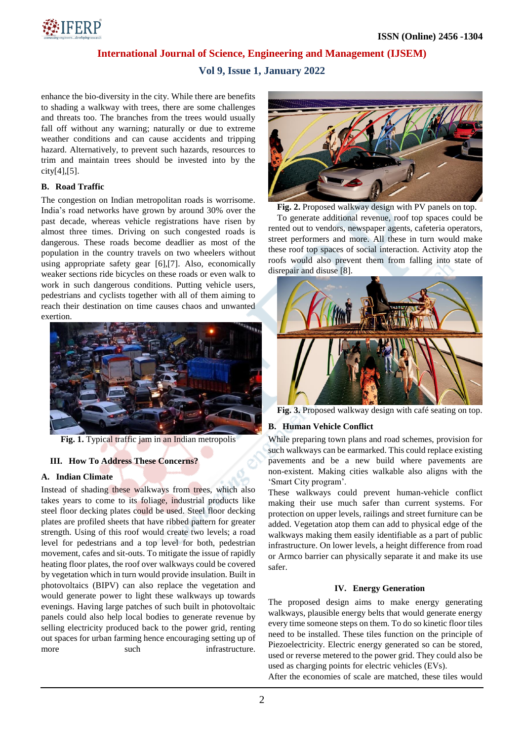

# **International Journal of Science, Engineering and Management (IJSEM)**

**Vol 9, Issue 1, January 2022**

enhance the bio-diversity in the city. While there are benefits to shading a walkway with trees, there are some challenges and threats too. The branches from the trees would usually fall off without any warning; naturally or due to extreme weather conditions and can cause accidents and tripping hazard. Alternatively, to prevent such hazards, resources to trim and maintain trees should be invested into by the city[4],[5].

# **B. Road Traffic**

The congestion on Indian metropolitan roads is worrisome. India"s road networks have grown by around 30% over the past decade, whereas vehicle registrations have risen by almost three times. Driving on such congested roads is dangerous. These roads become deadlier as most of the population in the country travels on two wheelers without using appropriate safety gear [6],[7]. Also, economically weaker sections ride bicycles on these roads or even walk to work in such dangerous conditions. Putting vehicle users, pedestrians and cyclists together with all of them aiming to reach their destination on time causes chaos and unwanted exertion.



**Fig. 1.** Typical traffic jam in an Indian metropolis

# **III. How To Address These Concerns?**

## **A. Indian Climate**

Instead of shading these walkways from trees, which also takes years to come to its foliage, industrial products like steel floor decking plates could be used. Steel floor decking plates are profiled sheets that have ribbed pattern for greater strength. Using of this roof would create two levels; a road level for pedestrians and a top level for both, pedestrian movement, cafes and sit-outs. To mitigate the issue of rapidly heating floor plates, the roof over walkways could be covered by vegetation which in turn would provide insulation. Built in photovoltaics (BIPV) can also replace the vegetation and would generate power to light these walkways up towards evenings. Having large patches of such built in photovoltaic panels could also help local bodies to generate revenue by selling electricity produced back to the power grid, renting out spaces for urban farming hence encouraging setting up of more such such infrastructure.



**Fig. 2.** Proposed walkway design with PV panels on top.

To generate additional revenue, roof top spaces could be rented out to vendors, newspaper agents, cafeteria operators, street performers and more. All these in turn would make these roof top spaces of social interaction. Activity atop the roofs would also prevent them from falling into state of disrepair and disuse [8].



**Fig. 3.** Proposed walkway design with café seating on top.

# **B. Human Vehicle Conflict**

While preparing town plans and road schemes, provision for such walkways can be earmarked. This could replace existing pavements and be a new build where pavements are non-existent. Making cities walkable also aligns with the 'Smart City program'.

These walkways could prevent human-vehicle conflict making their use much safer than current systems. For protection on upper levels, railings and street furniture can be added. Vegetation atop them can add to physical edge of the walkways making them easily identifiable as a part of public infrastructure. On lower levels, a height difference from road or Armco barrier can physically separate it and make its use safer.

## **IV. Energy Generation**

The proposed design aims to make energy generating walkways, plausible energy belts that would generate energy every time someone steps on them. To do so kinetic floor tiles need to be installed. These tiles function on the principle of Piezoelectricity. Electric energy generated so can be stored, used or reverse metered to the power grid. They could also be used as charging points for electric vehicles (EVs).

After the economies of scale are matched, these tiles would